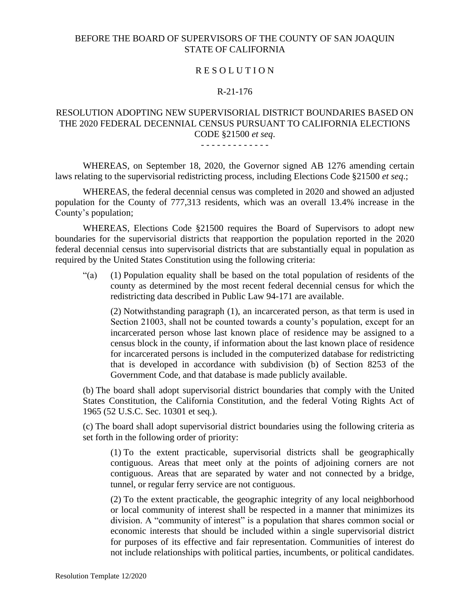## BEFORE THE BOARD OF SUPERVISORS OF THE COUNTY OF SAN JOAQUIN STATE OF CALIFORNIA

### R E S O L U T I O N

#### R-21-176

## RESOLUTION ADOPTING NEW SUPERVISORIAL DISTRICT BOUNDARIES BASED ON THE 2020 FEDERAL DECENNIAL CENSUS PURSUANT TO CALIFORNIA ELECTIONS CODE §21500 *et seq*.

#### - - - - - - - - - - - - -

WHEREAS, on September 18, 2020, the Governor signed AB 1276 amending certain laws relating to the supervisorial redistricting process, including Elections Code §21500 *et seq*.;

WHEREAS, the federal decennial census was completed in 2020 and showed an adjusted population for the County of 777,313 residents, which was an overall 13.4% increase in the County's population;

WHEREAS, Elections Code §21500 requires the Board of Supervisors to adopt new boundaries for the supervisorial districts that reapportion the population reported in the 2020 federal decennial census into supervisorial districts that are substantially equal in population as required by the United States Constitution using the following criteria:

"(a) (1) Population equality shall be based on the total population of residents of the county as determined by the most recent federal decennial census for which the redistricting data described in Public Law 94-171 are available.

(2) Notwithstanding paragraph (1), an incarcerated person, as that term is used in Section 21003, shall not be counted towards a county's population, except for an incarcerated person whose last known place of residence may be assigned to a census block in the county, if information about the last known place of residence for incarcerated persons is included in the computerized database for redistricting that is developed in accordance with subdivision (b) of Section 8253 of the Government Code, and that database is made publicly available.

(b) The board shall adopt supervisorial district boundaries that comply with the United States Constitution, the California Constitution, and the federal Voting Rights Act of 1965 (52 U.S.C. Sec. 10301 et seq.).

(c) The board shall adopt supervisorial district boundaries using the following criteria as set forth in the following order of priority:

(1) To the extent practicable, supervisorial districts shall be geographically contiguous. Areas that meet only at the points of adjoining corners are not contiguous. Areas that are separated by water and not connected by a bridge, tunnel, or regular ferry service are not contiguous.

(2) To the extent practicable, the geographic integrity of any local neighborhood or local community of interest shall be respected in a manner that minimizes its division. A "community of interest" is a population that shares common social or economic interests that should be included within a single supervisorial district for purposes of its effective and fair representation. Communities of interest do not include relationships with political parties, incumbents, or political candidates.